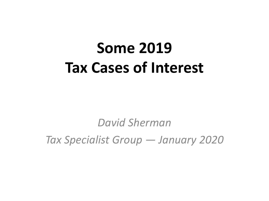# **Some 2019 Tax Cases of Interest**

*David Sherman*

*Tax Specialist Group — January 2020*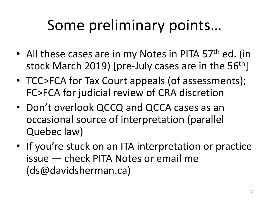# Some preliminary points…

- All these cases are in my Notes in PITA 57<sup>th</sup> ed. (in stock March 2019) [pre-July cases are in the 56<sup>th</sup>]
- TCC>FCA for Tax Court appeals (of assessments); FC>FCA for judicial review of CRA discretion
- Don't overlook QCCQ and QCCA cases as an occasional source of interpretation (parallel Quebec law)
- If you're stuck on an ITA interpretation or practice issue — check PITA Notes or email me (ds@davidsherman.ca)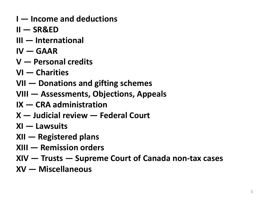- **I — Income and deductions**
- **II — SR&ED**
- **III — International**
- $IV GAAR$
- **V — Personal credits**
- **VI — Charities**
- **VII — Donations and gifting schemes**
- **VIII — Assessments, Objections, Appeals**
- **IX — CRA administration**
- **X — Judicial review — Federal Court**
- **XI — Lawsuits**
- **XII — Registered plans**
- **XIII — Remission orders**
- **XIV — Trusts — Supreme Court of Canada non-tax cases**
- **XV — Miscellaneous**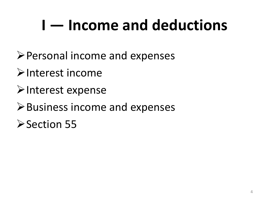# **I — Income and deductions**

- Personal income and expenses
- $\triangleright$ Interest income
- $\triangleright$  Interest expense
- $\triangleright$  Business income and expenses
- **≻Section 55**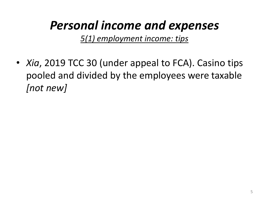# *Personal income and expenses*

*5(1) employment income: tips*

• *Xia*, 2019 TCC 30 (under appeal to FCA). Casino tips pooled and divided by the employees were taxable *[not new]*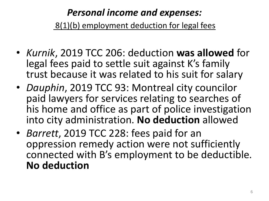*Personal income and expenses:* 8(1)(b) employment deduction for legal fees

- *Kurnik*, 2019 TCC 206: deduction **was allowed** for legal fees paid to settle suit against K's family trust because it was related to his suit for salary
- *Dauphin*, 2019 TCC 93: Montreal city councilor paid lawyers for services relating to searches of his home and office as part of police investigation into city administration. **No deduction** allowed
- *Barrett*, 2019 TCC 228: fees paid for an oppression remedy action were not sufficiently connected with B's employment to be deductible. **No deduction**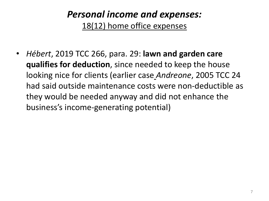# *Personal income and expenses:* 18(12) home office expenses

• *Hébert*, 2019 TCC 266, para. 29: **lawn and garden care qualifies for deduction**, since needed to keep the house looking nice for clients (earlier case *Andreone*, 2005 TCC 24 had said outside maintenance costs were non-deductible as they would be needed anyway and did not enhance the business's income-generating potential)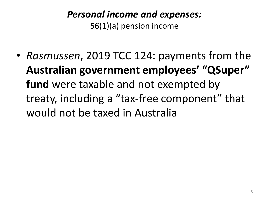# *Personal income and expenses:* 56(1)(a) pension income

• *Rasmussen*, 2019 TCC 124: payments from the **Australian government employees' "QSuper" fund** were taxable and not exempted by treaty, including a "tax-free component" that would not be taxed in Australia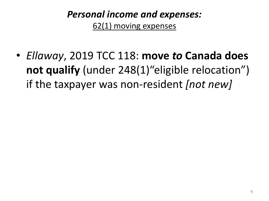# *Personal income and expenses:* 62(1) moving expenses

• *Ellaway*, 2019 TCC 118: **move** *to* **Canada does not qualify** (under 248(1)"eligible relocation") if the taxpayer was non-resident *[not new]*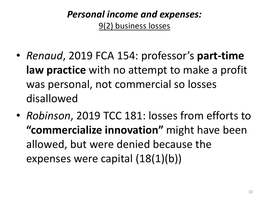# *Personal income and expenses:* 9(2) business losses

- *Renaud*, 2019 FCA 154: professor's **part-time law practice** with no attempt to make a profit was personal, not commercial so losses disallowed
- *Robinson*, 2019 TCC 181: losses from efforts to **"commercialize innovation"** might have been allowed, but were denied because the expenses were capital (18(1)(b))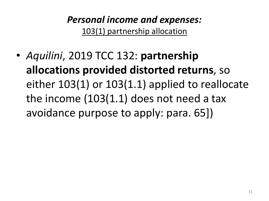# *Personal income and expenses:* 103(1) partnership allocation

• *Aquilini*, 2019 TCC 132: **partnership allocations provided distorted returns**, so either 103(1) or 103(1.1) applied to reallocate the income (103(1.1) does not need a tax avoidance purpose to apply: para. 65])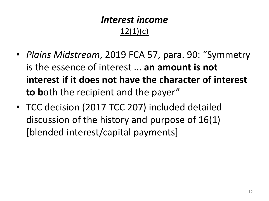# *Interest income*  $12(1)(c)$

- *Plains Midstream*, 2019 FCA 57, para. 90: "Symmetry is the essence of interest ... **an amount is not interest if it does not have the character of interest to b**oth the recipient and the payer"
- TCC decision (2017 TCC 207) included detailed discussion of the history and purpose of 16(1) [blended interest/capital payments]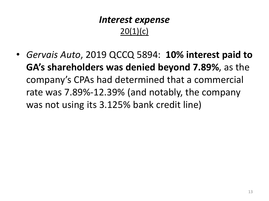# *Interest expense*  $20(1)(c)$

• *Gervais Auto*, 2019 QCCQ 5894: **10% interest paid to GA's shareholders was denied beyond 7.89%**, as the company's CPAs had determined that a commercial rate was 7.89%-12.39% (and notably, the company was not using its 3.125% bank credit line)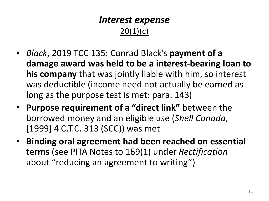# *Interest expense* 20(1)(c)

- *Black*, 2019 TCC 135: Conrad Black's **payment of a damage award was held to be a interest-bearing loan to his company** that was jointly liable with him, so interest was deductible (income need not actually be earned as long as the purpose test is met: para. 143)
- **Purpose requirement of a "direct link"** between the borrowed money and an eligible use (*Shell Canada*, [1999] 4 C.T.C. 313 (SCC)) was met
- **Binding oral agreement had been reached on essential terms** (see PITA Notes to 169(1) under *Rectification* about "reducing an agreement to writing")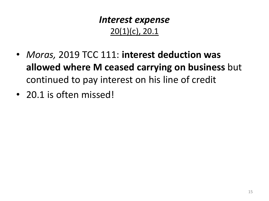# *Interest expense* 20(1)(c), 20.1

- *Moras,* 2019 TCC 111: **interest deduction was allowed where M ceased carrying on business** but continued to pay interest on his line of credit
- 20.1 is often missed!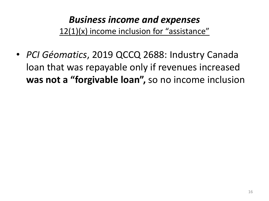# *Business income and expenses* 12(1)(x) income inclusion for "assistance"

• *PCI Géomatics*, 2019 QCCQ 2688: Industry Canada loan that was repayable only if revenues increased **was not a "forgivable loan",** so no income inclusion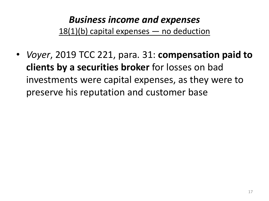# *Business income and expenses*  $18(1)(b)$  capital expenses  $-$  no deduction

• *Voyer*, 2019 TCC 221, para. 31: **compensation paid to clients by a securities broker** for losses on bad investments were capital expenses, as they were to preserve his reputation and customer base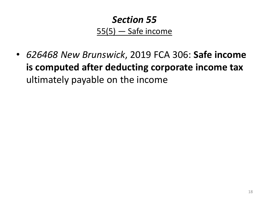# *Section 55*  $55(5)$  - Safe income

• *626468 New Brunswick*, 2019 FCA 306: **Safe income is computed after deducting corporate income tax**  ultimately payable on the income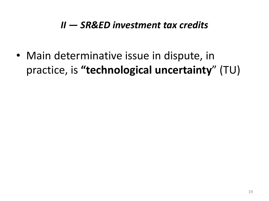### *II — SR&ED investment tax credits*

• Main determinative issue in dispute, in practice, is **"technological uncertainty**" (TU)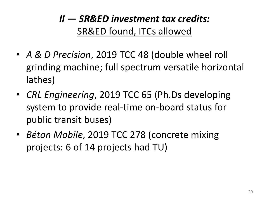# *II — SR&ED investment tax credits:* SR&ED found, ITCs allowed

- *A & D Precision*, 2019 TCC 48 (double wheel roll grinding machine; full spectrum versatile horizontal lathes)
- *CRL Engineering*, 2019 TCC 65 (Ph.Ds developing system to provide real-time on-board status for public transit buses)
- *Béton Mobile*, 2019 TCC 278 (concrete mixing projects: 6 of 14 projects had TU)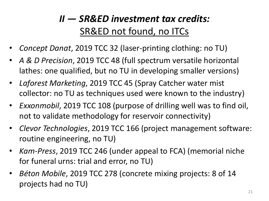# *II — SR&ED investment tax credits:* SR&ED not found, no ITCs

- *Concept Danat*, 2019 TCC 32 (laser-printing clothing: no TU)
- *A & D Precision*, 2019 TCC 48 (full spectrum versatile horizontal lathes: one qualified, but no TU in developing smaller versions)
- *Laforest Marketing*, 2019 TCC 45 (Spray Catcher water mist collector: no TU as techniques used were known to the industry)
- *Exxonmobil*, 2019 TCC 108 (purpose of drilling well was to find oil, not to validate methodology for reservoir connectivity)
- *Clevor Technologies*, 2019 TCC 166 (project management software: routine engineering, no TU)
- *Kam-Press*, 2019 TCC 246 (under appeal to FCA) (memorial niche for funeral urns: trial and error, no TU)
- *Béton Mobile*, 2019 TCC 278 (concrete mixing projects: 8 of 14 projects had no TU)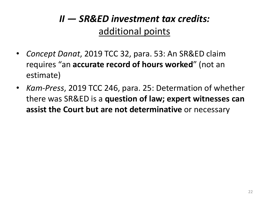# *II — SR&ED investment tax credits:* additional points

- *Concept Danat*, 2019 TCC 32, para. 53: An SR&ED claim requires "an **accurate record of hours worked**" (not an estimate)
- *Kam-Press*, 2019 TCC 246, para. 25: Determation of whether there was SR&ED is a **question of law; expert witnesses can assist the Court but are not determinative** or necessary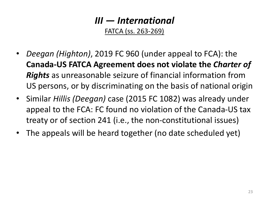FATCA (ss. 263-269)

- *Deegan (Highton)*, 2019 FC 960 (under appeal to FCA): the **Canada-US FATCA Agreement does not violate the** *Charter of Rights* as unreasonable seizure of financial information from US persons, or by discriminating on the basis of national origin
- Similar *Hillis (Deegan)* case (2015 FC 1082) was already under appeal to the FCA: FC found no violation of the Canada-US tax treaty or of section 241 (i.e., the non-constitutional issues)
- The appeals will be heard together (no date scheduled yet)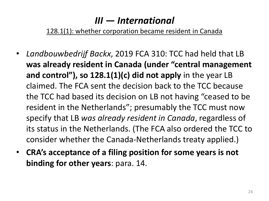128.1(1): whether corporation became resident in Canada

- *Landbouwbedrijf Backx*, 2019 FCA 310: TCC had held that LB **was already resident in Canada (under "central management and control"), so 128.1(1)(c) did not apply** in the year LB claimed. The FCA sent the decision back to the TCC because the TCC had based its decision on LB not having "ceased to be resident in the Netherlands"; presumably the TCC must now specify that LB *was already resident in Canada*, regardless of its status in the Netherlands. (The FCA also ordered the TCC to consider whether the Canada-Netherlands treaty applied.)
- **CRA's acceptance of a filing position for some years is not binding for other years**: para. 14.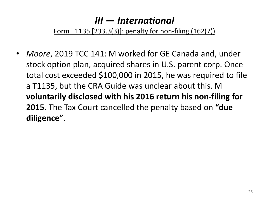#### Form T1135 [233.3(3)]: penalty for non-filing (162(7))

• *Moore*, 2019 TCC 141: M worked for GE Canada and, under stock option plan, acquired shares in U.S. parent corp. Once total cost exceeded \$100,000 in 2015, he was required to file a T1135, but the CRA Guide was unclear about this. M **voluntarily disclosed with his 2016 return his non-filing for 2015**. The Tax Court cancelled the penalty based on **"due diligence"**.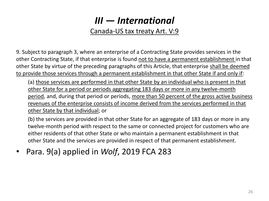#### Canada-US tax treaty Art. V:9

9. Subject to paragraph 3, where an enterprise of a Contracting State provides services in the other Contracting State, if that enterprise is found not to have a permanent establishment in that other State by virtue of the preceding paragraphs of this Article, that enterprise shall be deemed to provide those services through a permanent establishment in that other State if and only if:

(a) those services are performed in that other State by an individual who is present in that other State for a period or periods aggregating 183 days or more in any twelve-month period, and, during that period or periods, more than 50 percent of the gross active business revenues of the enterprise consists of income derived from the services performed in that other State by that individual; or

(b) the services are provided in that other State for an aggregate of 183 days or more in any twelve-month period with respect to the same or connected project for customers who are either residents of that other State or who maintain a permanent establishment in that other State and the services are provided in respect of that permanent establishment.

• Para. 9(a) applied in *Wolf*, 2019 FCA 283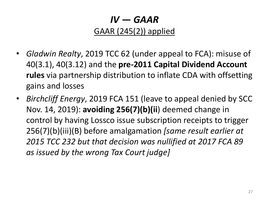## *IV — GAAR* GAAR (245(2)) applied

- *Gladwin Realty*, 2019 TCC 62 (under appeal to FCA): misuse of 40(3.1), 40(3.12) and the **pre-2011 Capital Dividend Account rules** via partnership distribution to inflate CDA with offsetting gains and losses
- *Birchcliff Energy*, 2019 FCA 151 (leave to appeal denied by SCC Nov. 14, 2019): **avoiding 256(7)(b)(ii**) deemed change in control by having Lossco issue subscription receipts to trigger 256(7)(b)(iii)(B) before amalgamation *[same result earlier at 2015 TCC 232 but that decision was nullified at 2017 FCA 89 as issued by the wrong Tax Court judge]*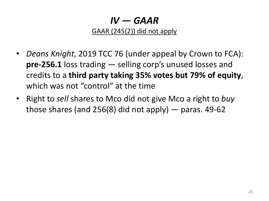*IV — GAAR*

GAAR (245(2)) did not apply

- *Deans Knight*, 2019 TCC 76 (under appeal by Crown to FCA): **pre-256.1** loss trading — selling corp's unused losses and credits to a **third party taking 35% votes but 79% of equity**, which was not "control" at the time
- Right to *sell* shares to Mco did not give Mco a right to *buy* those shares (and  $256(8)$  did not apply) — paras. 49-62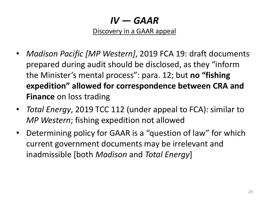*IV — GAAR*

Discovery in a GAAR appeal

- *Madison Pacific [MP Western]*, 2019 FCA 19: draft documents prepared during audit should be disclosed, as they "inform the Minister's mental process": para. 12; but **no "fishing expedition" allowed for correspondence between CRA and Finance** on loss trading
- *Total Energy*, 2019 TCC 112 (under appeal to FCA): similar to *MP Western*; fishing expedition not allowed
- Determining policy for GAAR is a "question of law" for which current government documents may be irrelevant and inadmissible [both *Madison* and *Total Energy*]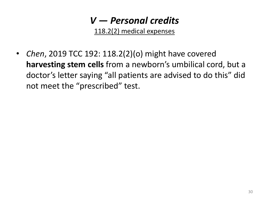118.2(2) medical expenses

• *Chen*, 2019 TCC 192: 118.2(2)(o) might have covered **harvesting stem cells** from a newborn's umbilical cord, but a doctor's letter saying "all patients are advised to do this" did not meet the "prescribed" test.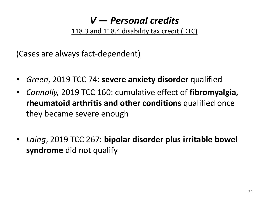118.3 and 118.4 disability tax credit (DTC)

(Cases are always fact-dependent)

- *Green*, 2019 TCC 74: **severe anxiety disorder** qualified
- *Connolly,* 2019 TCC 160: cumulative effect of **fibromyalgia, rheumatoid arthritis and other conditions** qualified once they became severe enough
- *Laing*, 2019 TCC 267: **bipolar disorder plus irritable bowel syndrome** did not qualify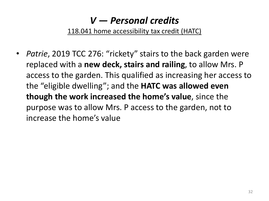118.041 home accessibility tax credit (HATC)

• *Patrie*, 2019 TCC 276: "rickety" stairs to the back garden were replaced with a **new deck, stairs and railing**, to allow Mrs. P access to the garden. This qualified as increasing her access to the "eligible dwelling"; and the **HATC was allowed even though the work increased the home's value**, since the purpose was to allow Mrs. P access to the garden, not to increase the home's value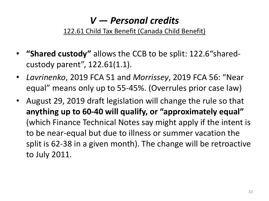#### 122.61 Child Tax Benefit (Canada Child Benefit)

- **"Shared custody"** allows the CCB to be split: 122.6"sharedcustody parent", 122.61(1.1).
- *Lavrinenko*, 2019 FCA 51 and *Morrissey*, 2019 FCA 56: "Near equal" means only up to 55-45%. (Overrules prior case law)
- August 29, 2019 draft legislation will change the rule so that **anything up to 60-40 will qualify, or "approximately equal"**  (which Finance Technical Notes say might apply if the intent is to be near-equal but due to illness or summer vacation the split is 62-38 in a given month). The change will be retroactive to July 2011.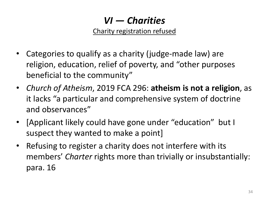# *VI — Charities*

Charity registration refused

- Categories to qualify as a charity (judge-made law) are religion, education, relief of poverty, and "other purposes beneficial to the community"
- *Church of Atheism*, 2019 FCA 296: **atheism is not a religion**, as it lacks "a particular and comprehensive system of doctrine and observances"
- [Applicant likely could have gone under "education" but I suspect they wanted to make a point]
- Refusing to register a charity does not interfere with its members' *Charter* rights more than trivially or insubstantially: para. 16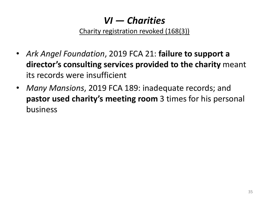# *VI — Charities*

Charity registration revoked (168(3))

- *Ark Angel Foundation*, 2019 FCA 21: **failure to support a director's consulting services provided to the charity** meant its records were insufficient
- *Many Mansions*, 2019 FCA 189: inadequate records; and **pastor used charity's meeting room** 3 times for his personal business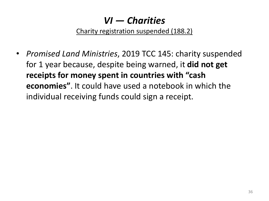# *VI — Charities*

Charity registration suspended (188.2)

• *Promised Land Ministries*, 2019 TCC 145: charity suspended for 1 year because, despite being warned, it **did not get receipts for money spent in countries with "cash economies"**. It could have used a notebook in which the individual receiving funds could sign a receipt.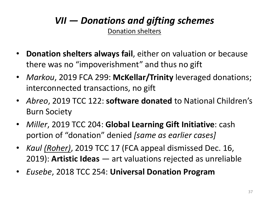### *VII — Donations and gifting schemes* **Donation shelters**

- **Donation shelters always fail**, either on valuation or because there was no "impoverishment" and thus no gift
- *Markou*, 2019 FCA 299: **McKellar/Trinity** leveraged donations; interconnected transactions, no gift
- *Abreo*, 2019 TCC 122: **software donated** to National Children's Burn Society
- *Miller*, 2019 TCC 204: **Global Learning Gift Initiative**: cash portion of "donation" denied *[same as earlier cases]*
- *Kaul (Roher)*, 2019 TCC 17 (FCA appeal dismissed Dec. 16, 2019): **Artistic Ideas** — art valuations rejected as unreliable
- *Eusebe*, 2018 TCC 254: **Universal Donation Program**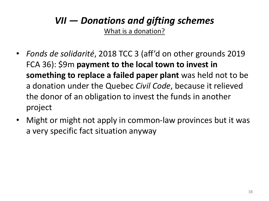# *VII — Donations and gifting schemes*

What is a donation?

- *Fonds de solidarité*, 2018 TCC 3 (aff'd on other grounds 2019 FCA 36): \$9m **payment to the local town to invest in something to replace a failed paper plant** was held not to be a donation under the Quebec *Civil Code*, because it relieved the donor of an obligation to invest the funds in another project
- Might or might not apply in common-law provinces but it was a very specific fact situation anyway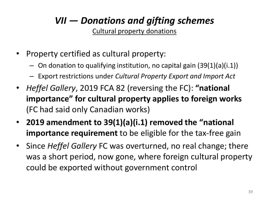### *VII — Donations and gifting schemes* Cultural property donations

- Property certified as cultural property:
	- $-$  On donation to qualifying institution, no capital gain  $(39(1)(a)(i.1))$
	- Export restrictions under *Cultural Property Export and Import Act*
- *Heffel Gallery*, 2019 FCA 82 (reversing the FC): **"national importance" for cultural property applies to foreign works**  (FC had said only Canadian works)
- **2019 amendment to 39(1)(a)(i.1) removed the "national importance requirement** to be eligible for the tax-free gain
- Since *Heffel Gallery* FC was overturned, no real change; there was a short period, now gone, where foreign cultural property could be exported without government control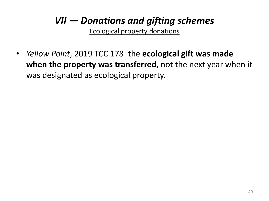# *VII — Donations and gifting schemes*

Ecological property donations

• *Yellow Point*, 2019 TCC 178: the **ecological gift was made when the property was transferred**, not the next year when it was designated as ecological property.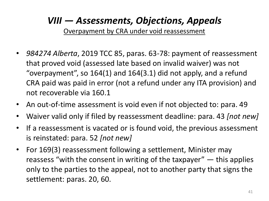Overpayment by CRA under void reassessment

- *984274 Alberta*, 2019 TCC 85, paras. 63-78: payment of reassessment that proved void (assessed late based on invalid waiver) was not "overpayment", so 164(1) and 164(3.1) did not apply, and a refund CRA paid was paid in error (not a refund under any ITA provision) and not recoverable via 160.1
- An out-of-time assessment is void even if not objected to: para. 49
- Waiver valid only if filed by reassessment deadline: para. 43 *[not new]*
- If a reassessment is vacated or is found void, the previous assessment is reinstated: para. 52 *[not new]*
- For 169(3) reassessment following a settlement, Minister may reassess "with the consent in writing of the taxpayer" — this applies only to the parties to the appeal, not to another party that signs the settlement: paras. 20, 60.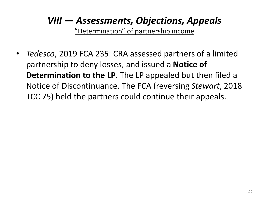"Determination" of partnership income

• *Tedesco*, 2019 FCA 235: CRA assessed partners of a limited partnership to deny losses, and issued a **Notice of Determination to the LP**. The LP appealed but then filed a Notice of Discontinuance. The FCA (reversing *Stewart*, 2018 TCC 75) held the partners could continue their appeals.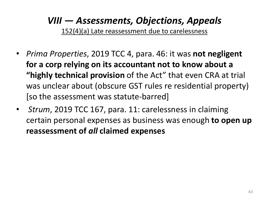152(4)(a) Late reassessment due to carelessness

- *Prima Properties*, 2019 TCC 4, para. 46: it was **not negligent for a corp relying on its accountant not to know about a "highly technical provision** of the Act" that even CRA at trial was unclear about (obscure GST rules re residential property) [so the assessment was statute-barred]
- *Strum*, 2019 TCC 167, para. 11: carelessness in claiming certain personal expenses as business was enough **to open up reassessment of** *all* **claimed expenses**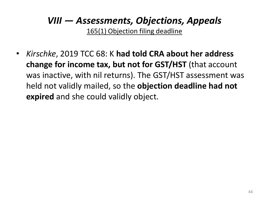165(1) Objection filing deadline

• *Kirschke*, 2019 TCC 68: K **had told CRA about her address change for income tax, but not for GST/HST** (that account was inactive, with nil returns). The GST/HST assessment was held not validly mailed, so the **objection deadline had not expired** and she could validly object.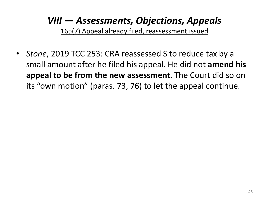165(7) Appeal already filed, reassessment issued

• *Stone*, 2019 TCC 253: CRA reassessed S to reduce tax by a small amount after he filed his appeal. He did not **amend his appeal to be from the new assessment**. The Court did so on its "own motion" (paras. 73, 76) to let the appeal continue.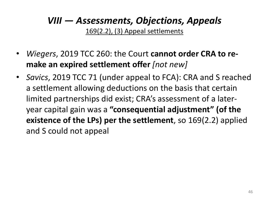169(2.2), (3) Appeal settlements

- *Wiegers*, 2019 TCC 260: the Court **cannot order CRA to remake an expired settlement offer** *[not new]*
- *Savics*, 2019 TCC 71 (under appeal to FCA): CRA and S reached a settlement allowing deductions on the basis that certain limited partnerships did exist; CRA's assessment of a lateryear capital gain was a **"consequential adjustment" (of the existence of the LPs) per the settlement**, so 169(2.2) applied and S could not appeal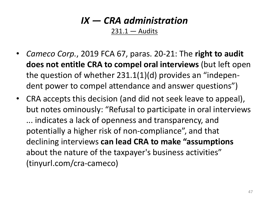# *IX — CRA administration*

 $231.1 -$  Audits

- *Cameco Corp.*, 2019 FCA 67, paras. 20-21: The **right to audit does not entitle CRA to compel oral interviews** (but left open the question of whether 231.1(1)(d) provides an "independent power to compel attendance and answer questions")
- CRA accepts this decision (and did not seek leave to appeal), but notes ominously: "Refusal to participate in oral interviews ... indicates a lack of openness and transparency, and potentially a higher risk of non-compliance", and that declining interviews **can lead CRA to make "assumptions**  about the nature of the taxpayer's business activities" (tinyurl.com/cra-cameco)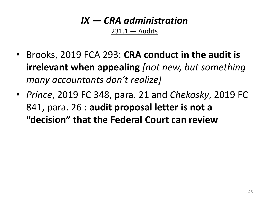#### *IX — CRA administration*  $231.1 -$  Audits

- Brooks, 2019 FCA 293: **CRA conduct in the audit is irrelevant when appealing** *[not new, but something many accountants don't realize]*
- *Prince*, 2019 FC 348, para. 21 and *Chekosky*, 2019 FC 841, para. 26 : **audit proposal letter is not a "decision" that the Federal Court can review**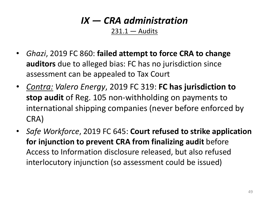# *IX — CRA administration*

 $231.1 -$  Audits

- *Ghazi*, 2019 FC 860: **failed attempt to force CRA to change auditors** due to alleged bias: FC has no jurisdiction since assessment can be appealed to Tax Court
- *Contra: Valero Energy*, 2019 FC 319: **FC has jurisdiction to stop audit** of Reg. 105 non-withholding on payments to international shipping companies (never before enforced by CRA)
- *Safe Workforce*, 2019 FC 645: **Court refused to strike application for injunction to prevent CRA from finalizing audit** before Access to Information disclosure released, but also refused interlocutory injunction (so assessment could be issued)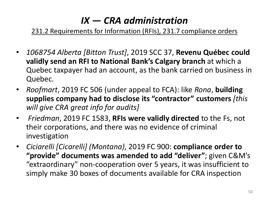# *IX — CRA administration*

231.2 Requirements for Information (RFIs), 231.7 compliance orders

- *1068754 Alberta [Bitton Trust]*, 2019 SCC 37, **Revenu Québec could validly send an RFI to National Bank's Calgary branch** at which a Quebec taxpayer had an account, as the bank carried on business in Quebec.
- *Roofmart*, 2019 FC 506 (under appeal to FCA): like *Rona*, **building supplies company had to disclose its "contractor" customers** *[this will give CRA great info for audits]*
- *Friedman*, 2019 FC 1583, **RFIs were validly directed** to the Fs, not their corporations, and there was no evidence of criminal investigation
- *Ciciarelli [Cicarelli] (Montana)*, 2019 FC 900: **compliance order to "provide" documents was amended to add "deliver"**; given C&M's "extraordinary" non-cooperation over 5 years, it was insufficient to simply make 30 boxes of documents available for CRA inspection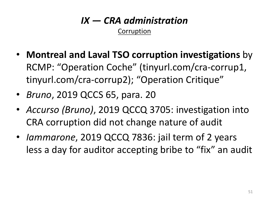### *IX — CRA administration* Corruption

- **Montreal and Laval TSO corruption investigations** by RCMP: "Operation Coche" (tinyurl.com/cra-corrup1, tinyurl.com/cra-corrup2); "Operation Critique"
- *Bruno*, 2019 QCCS 65, para. 20
- *Accurso (Bruno)*, 2019 QCCQ 3705: investigation into CRA corruption did not change nature of audit
- *Iammarone*, 2019 QCCQ 7836: jail term of 2 years less a day for auditor accepting bribe to "fix" an audit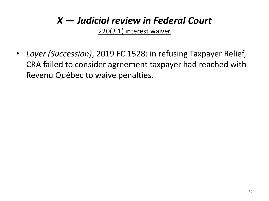## *X — Judicial review in Federal Court*

220(3.1) interest waiver

• *Loyer (Succession)*, 2019 FC 1528: in refusing Taxpayer Relief, CRA failed to consider agreement taxpayer had reached with Revenu Québec to waive penalties.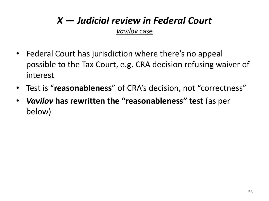# *X — Judicial review in Federal Court*

*Vavilov* case

- Federal Court has jurisdiction where there's no appeal possible to the Tax Court, e.g. CRA decision refusing waiver of interest
- Test is "**reasonableness**" of CRA's decision, not "correctness"
- *Vavilov* **has rewritten the "reasonableness" test** (as per below)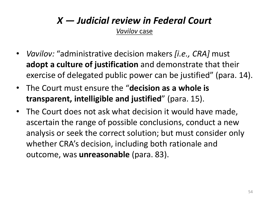### *X — Judicial review in Federal Court Vavilov* case

- *Vavilov:* "administrative decision makers *[i.e., CRA]* must **adopt a culture of justification** and demonstrate that their exercise of delegated public power can be justified" (para. 14).
- The Court must ensure the "**decision as a whole is transparent, intelligible and justified**" (para. 15).
- The Court does not ask what decision it would have made, ascertain the range of possible conclusions, conduct a new analysis or seek the correct solution; but must consider only whether CRA's decision, including both rationale and outcome, was **unreasonable** (para. 83).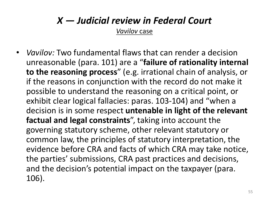# *X — Judicial review in Federal Court*

*Vavilov* case

• *Vavilov:* Two fundamental flaws that can render a decision unreasonable (para. 101) are a "**failure of rationality internal to the reasoning process**" (e.g. irrational chain of analysis, or if the reasons in conjunction with the record do not make it possible to understand the reasoning on a critical point, or exhibit clear logical fallacies: paras. 103-104) and "when a decision is in some respect **untenable in light of the relevant factual and legal constraints**", taking into account the governing statutory scheme, other relevant statutory or common law, the principles of statutory interpretation, the evidence before CRA and facts of which CRA may take notice, the parties' submissions, CRA past practices and decisions, and the decision's potential impact on the taxpayer (para. 106).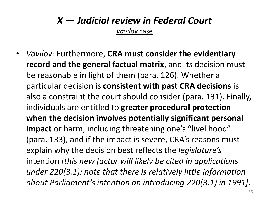# *X — Judicial review in Federal Court*

*Vavilov* case

• *Vavilov:* Furthermore, **CRA must consider the evidentiary record and the general factual matrix**, and its decision must be reasonable in light of them (para. 126). Whether a particular decision is **consistent with past CRA decisions** is also a constraint the court should consider (para. 131). Finally, individuals are entitled to **greater procedural protection when the decision involves potentially significant personal impact** or harm, including threatening one's "livelihood" (para. 133), and if the impact is severe, CRA's reasons must explain why the decision best reflects the *legislature's* intention *[this new factor will likely be cited in applications under 220(3.1): note that there is relatively little information about Parliament's intention on introducing 220(3.1) in 1991]*.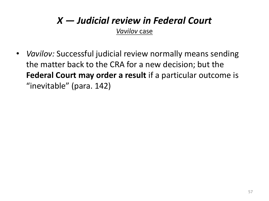### *X — Judicial review in Federal Court Vavilov* case

• *Vavilov:* Successful judicial review normally means sending the matter back to the CRA for a new decision; but the **Federal Court may order a result** if a particular outcome is "inevitable" (para. 142)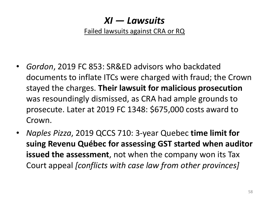### *XI — Lawsuits*

Failed lawsuits against CRA or RQ

- *Gordon*, 2019 FC 853: SR&ED advisors who backdated documents to inflate ITCs were charged with fraud; the Crown stayed the charges. **Their lawsuit for malicious prosecution**  was resoundingly dismissed, as CRA had ample grounds to prosecute. Later at 2019 FC 1348: \$675,000 costs award to Crown.
- *Naples Pizza*, 2019 QCCS 710: 3-year Quebec **time limit for suing Revenu Québec for assessing GST started when auditor issued the assessment**, not when the company won its Tax Court appeal *[conflicts with case law from other provinces]*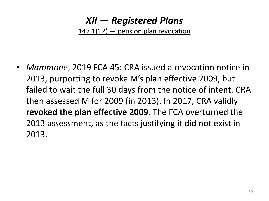### *XII — Registered Plans* 147.1(12) — pension plan revocation

• *Mammone*, 2019 FCA 45: CRA issued a revocation notice in 2013, purporting to revoke M's plan effective 2009, but failed to wait the full 30 days from the notice of intent. CRA then assessed M for 2009 (in 2013). In 2017, CRA validly **revoked the plan effective 2009**. The FCA overturned the 2013 assessment, as the facts justifying it did not exist in 2013.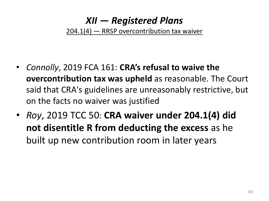### *XII — Registered Plans* 204.1(4) — RRSP overcontribution tax waiver

- *Connolly*, 2019 FCA 161: **CRA's refusal to waive the overcontribution tax was upheld** as reasonable. The Court said that CRA's guidelines are unreasonably restrictive, but on the facts no waiver was justified
- *Roy*, 2019 TCC 50: **CRA waiver under 204.1(4) did not disentitle R from deducting the excess** as he built up new contribution room in later years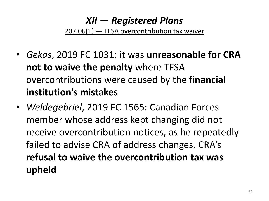## *XII — Registered Plans*

207.06(1) — TFSA overcontribution tax waiver

- *Gekas*, 2019 FC 1031: it was **unreasonable for CRA not to waive the penalty** where TFSA overcontributions were caused by the **financial institution's mistakes**
- *Weldegebriel*, 2019 FC 1565: Canadian Forces member whose address kept changing did not receive overcontribution notices, as he repeatedly failed to advise CRA of address changes. CRA's **refusal to waive the overcontribution tax was upheld**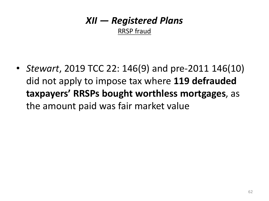### *XII — Registered Plans* RRSP fraud

• *Stewart*, 2019 TCC 22: 146(9) and pre-2011 146(10) did not apply to impose tax where **119 defrauded taxpayers' RRSPs bought worthless mortgages**, as the amount paid was fair market value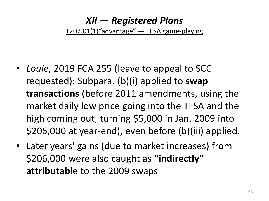### *XII — Registered Plans* T207.01(1)"advantage" — TFSA game-playing

- *Louie*, 2019 FCA 255 (leave to appeal to SCC requested): Subpara. (b)(i) applied to **swap transactions** (before 2011 amendments, using the market daily low price going into the TFSA and the high coming out, turning \$5,000 in Jan. 2009 into \$206,000 at year-end), even before (b)(iii) applied.
- Later years' gains (due to market increases) from \$206,000 were also caught as **"indirectly" attributabl**e to the 2009 swaps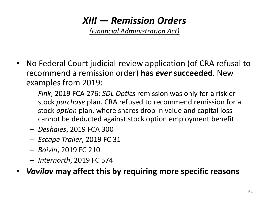# *XIII — Remission Orders*

*(Financial Administration Act)*

- No Federal Court judicial-review application (of CRA refusal to recommend a remission order) **has** *ever* **succeeded**. New examples from 2019:
	- *Fink*, 2019 FCA 276: *SDL Optics* remission was only for a riskier stock *purchase* plan. CRA refused to recommend remission for a stock *option* plan, where shares drop in value and capital loss cannot be deducted against stock option employment benefit
	- *Deshaies*, 2019 FCA 300
	- *Escape Trailer*, 2019 FC 31
	- *Boivin*, 2019 FC 210
	- *Internorth*, 2019 FC 574
- *Vavilov* **may affect this by requiring more specific reasons**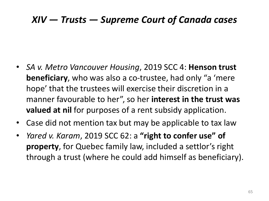### *XIV — Trusts — Supreme Court of Canada cases*

- *SA v. Metro Vancouver Housing*, 2019 SCC 4: **Henson trust beneficiary**, who was also a co-trustee, had only "a 'mere hope' that the trustees will exercise their discretion in a manner favourable to her", so her **interest in the trust was valued at nil** for purposes of a rent subsidy application.
- Case did not mention tax but may be applicable to tax law
- *Yared v. Karam*, 2019 SCC 62: a **"right to confer use" of property**, for Quebec family law, included a settlor's right through a trust (where he could add himself as beneficiary).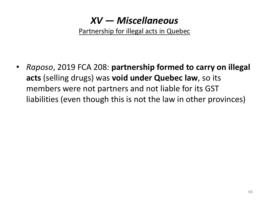Partnership for illegal acts in Quebec

• *Raposo*, 2019 FCA 208: **partnership formed to carry on illegal acts** (selling drugs) was **void under Quebec law**, so its members were not partners and not liable for its GST liabilities (even though this is not the law in other provinces)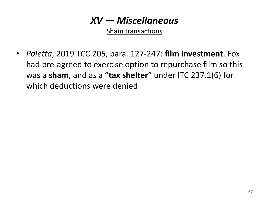Sham transactions

• *Paletta*, 2019 TCC 205, para. 127-247: **film investment**. Fox had pre-agreed to exercise option to repurchase film so this was a **sham**, and as a **"tax shelter**" under ITC 237.1(6) for which deductions were denied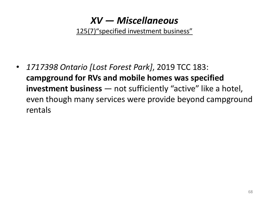125(7)"specified investment business"

• *1717398 Ontario [Lost Forest Park]*, 2019 TCC 183: **campground for RVs and mobile homes was specified investment business** — not sufficiently "active" like a hotel, even though many services were provide beyond campground rentals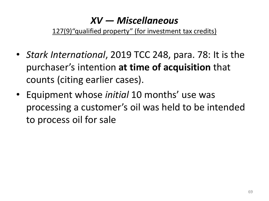127(9) "qualified property" (for investment tax credits)

- *Stark International*, 2019 TCC 248, para. 78: It is the purchaser's intention **at time of acquisition** that counts (citing earlier cases).
- Equipment whose *initial* 10 months' use was processing a customer's oil was held to be intended to process oil for sale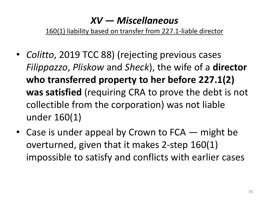160(1) liability based on transfer from 227.1-liable director

- *Colitto*, 2019 TCC 88) (rejecting previous cases *Filippazzo*, *Pliskow* and *Sheck*), the wife of a **director who transferred property to her before 227.1(2) was satisfied** (requiring CRA to prove the debt is not collectible from the corporation) was not liable under 160(1)
- Case is under appeal by Crown to  $FCA$  might be overturned, given that it makes 2-step 160(1) impossible to satisfy and conflicts with earlier cases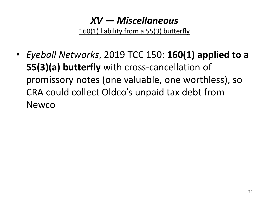160(1) liability from a 55(3) butterfly

• *Eyeball Networks*, 2019 TCC 150: **160(1) applied to a 55(3)(a) butterfly** with cross-cancellation of promissory notes (one valuable, one worthless), so CRA could collect Oldco's unpaid tax debt from Newco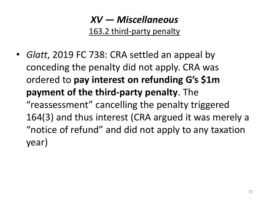### *XV — Miscellaneous* 163.2 third-party penalty

• *Glatt*, 2019 FC 738: CRA settled an appeal by conceding the penalty did not apply. CRA was ordered to **pay interest on refunding G's \$1m payment of the third-party penalty**. The "reassessment" cancelling the penalty triggered 164(3) and thus interest (CRA argued it was merely a "notice of refund" and did not apply to any taxation year)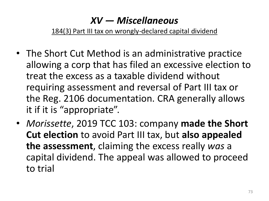184(3) Part III tax on wrongly-declared capital dividend

- The Short Cut Method is an administrative practice allowing a corp that has filed an excessive election to treat the excess as a taxable dividend without requiring assessment and reversal of Part III tax or the Reg. 2106 documentation. CRA generally allows it if it is "appropriate".
- *Morissette*, 2019 TCC 103: company **made the Short Cut election** to avoid Part III tax, but **also appealed the assessment**, claiming the excess really *was* a capital dividend. The appeal was allowed to proceed to trial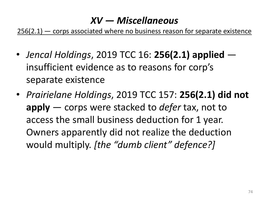256(2.1) – corps associated where no business reason for separate existence

- *Jencal Holdings*, 2019 TCC 16: **256(2.1) applied**  insufficient evidence as to reasons for corp's separate existence
- *Prairielane Holdings*, 2019 TCC 157: **256(2.1) did not apply** — corps were stacked to *defer* tax, not to access the small business deduction for 1 year. Owners apparently did not realize the deduction would multiply. *[the "dumb client" defence?]*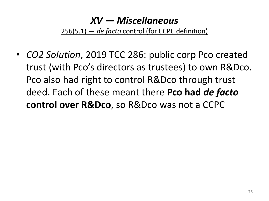256(5.1) — *de facto* control (for CCPC definition)

• *CO2 Solution*, 2019 TCC 286: public corp Pco created trust (with Pco's directors as trustees) to own R&Dco. Pco also had right to control R&Dco through trust deed. Each of these meant there **Pco had** *de facto*  **control over R&Dco**, so R&Dco was not a CCPC